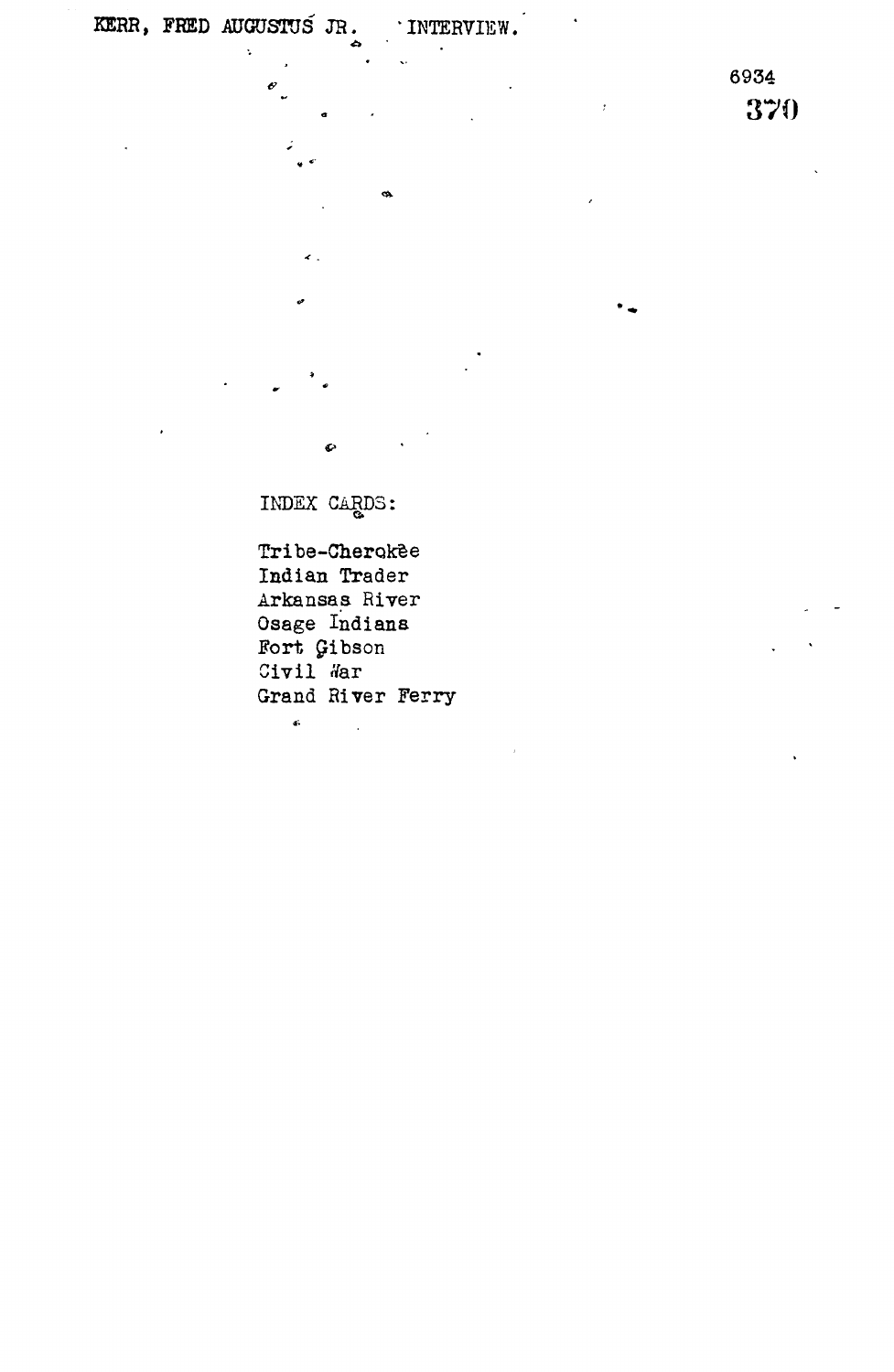$\ddot{\phantom{a}}$ 

 $\mathbf{e}$ 

 $\bar{t}$ 

 $\ddot{\phantom{a}}$ 

ø.

6934 370

INDEX CARDS:

 $\bullet$ 

Tribe-Cherokee Indian Trader Arkansas River Osage Indians Fort £ibson Civil War Grand River Ferry  $\hat{\mathbf{e}}$ 

 $\overline{\phantom{a}}$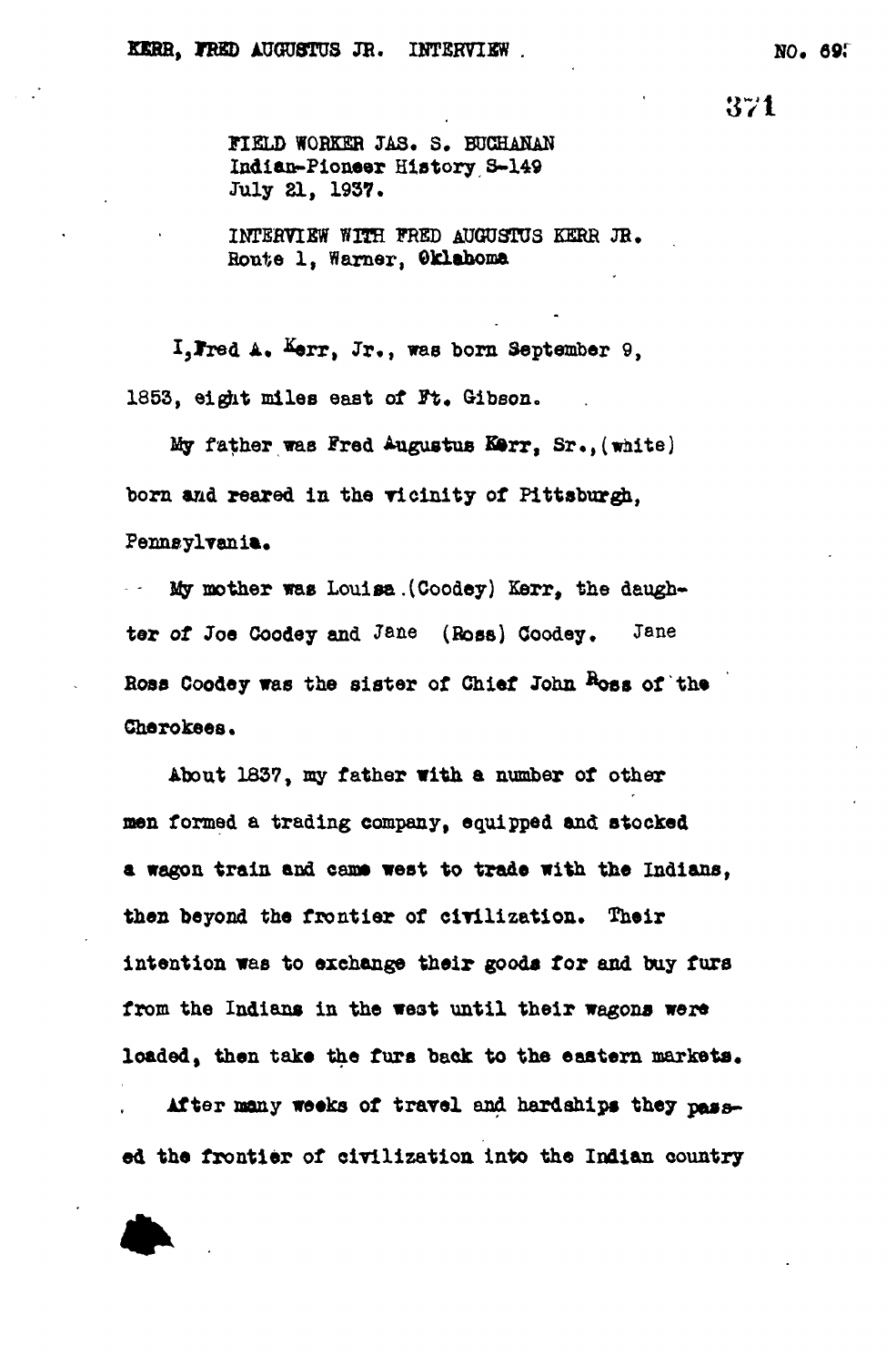371

**FIELD WORKER JAS. S. BUCHANAN Indian-Pioneer History S-149 July 21, 1937.**

**INTERVIEW WITH FRED AUGUSTUS KERR JR. Route 1, Warner, Oklahoma**

I. Fred A. Kerr, Jr., was born September 9, **1853, el git miles east of Ft. Gibson.**

**My father was Fred Augustus Kferr, Sr.,(waite) born and reared in the ricinity of Pittsburgh, Pennsylvania.**

**- My mother was Louisa, (Coodey) Kerr, the daugbter of Joe Coodey and J&ae (Boss) Coodey. Jane Boss Coodey was the sister of Chief John &oss of the Cherokees.**

**About 1837, my father with a number of other men formed a trading company, equipped and stocked** a wagon train and came west to trade with the Indians, **then beyond the frontier of clrilization. Their intention was to exchange their goods for and buy furs from the Indians in the weat until their wagons were loaded, then take the furs back to the eastern markets.**

**After many weeks of travel and hardships they passed the frontier of civilization Into the Indian country**

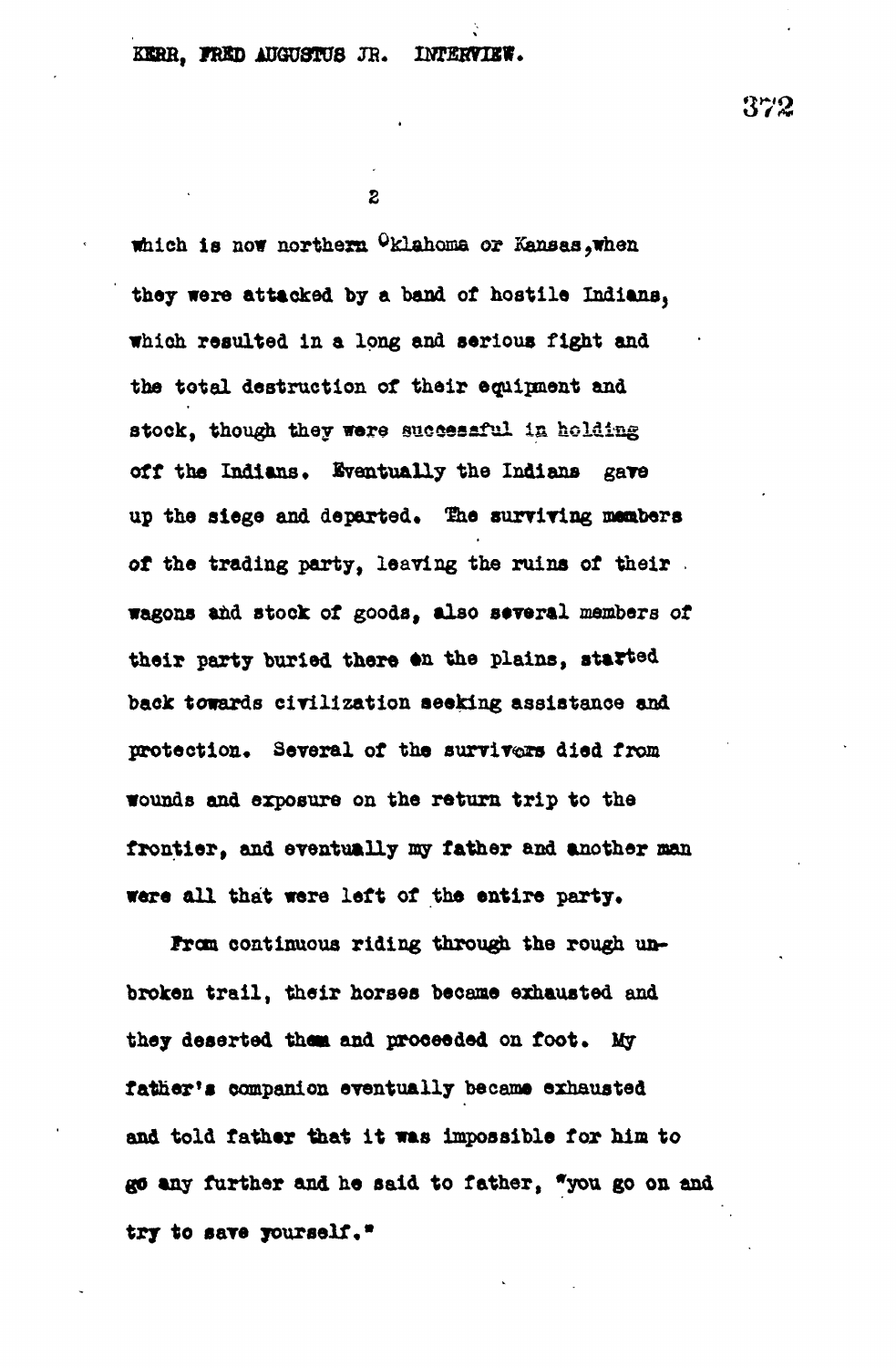**which is now northern Oklahoma or Kansas,when they were attacked by a band of hostile Indians, which resulted in a long and serious fight and the total destruction of their equipment and stock, though they wore successful is holding** off the Indians. Eventually the Indians gave up the siege and departed. The surviving members **of the trading party, leaving the ruins of their wagons and stock of goods, also several members of** their party buried there on the plains, started **back towards civilization seeking assistance and** protection. Several of the survivers died from **wounds and exposure on the return trip to the frontier, and eventually my father and another man** were all that were left of the entire party.

**from continuous riding through the rough unbroken trail, their horses became exhausted and** they deserted them and proceeded on foot. My **father's companion eventually became exhausted and told father that it was impossible fox him to go any further and he a aid to father, "you go on and try to save yourself•"**

372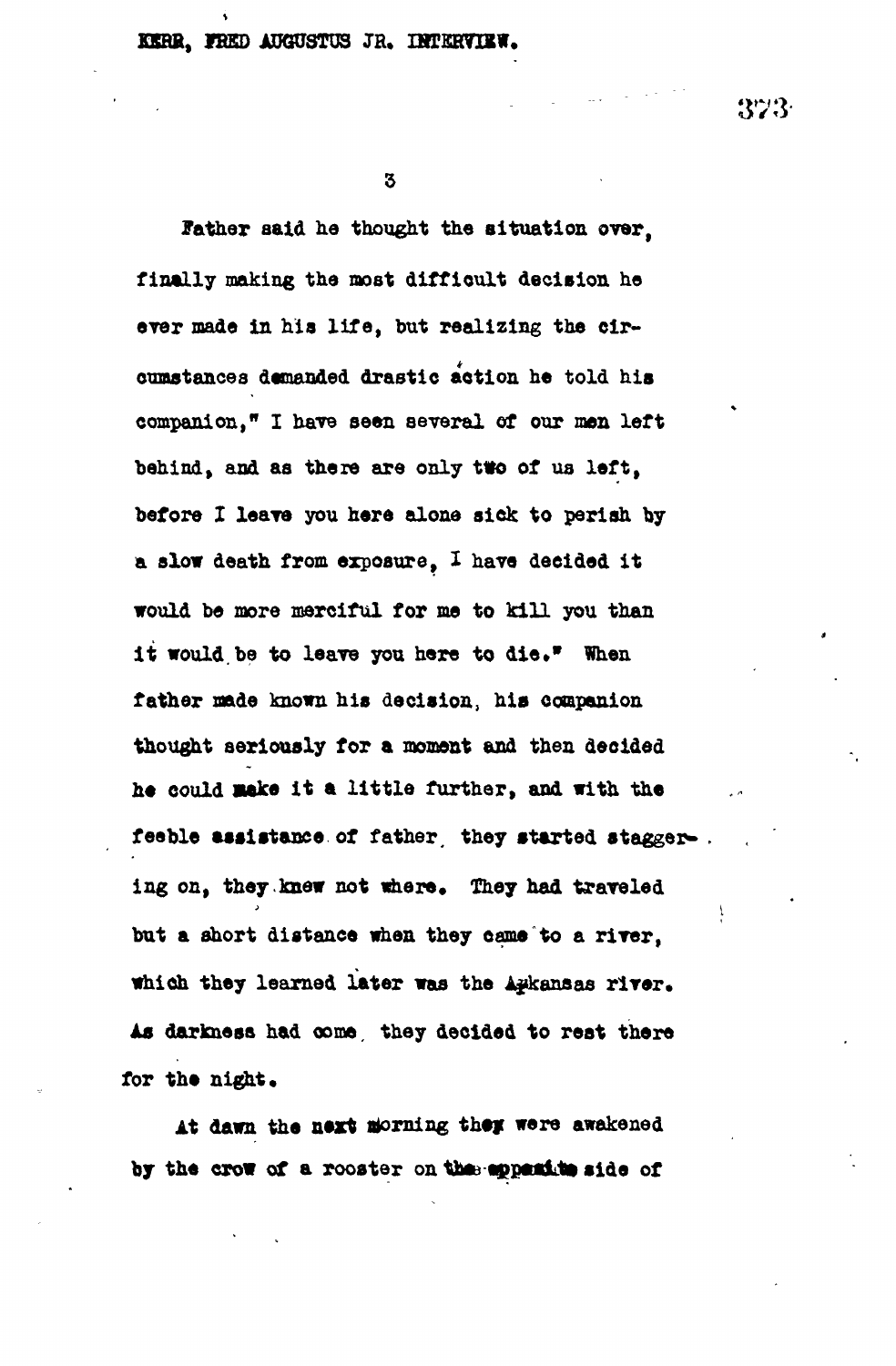$\overline{\mathbf{3}}$ 

**Jather aald he thought the situation over, finally making the most difficult decision he ever made in hia life, but realizing the circumstances demanded drastic action he told his companion," I have seen several of our men left behind, and as there are only two of us left, before X leave you here alone sick to perish by a slow death from exposure, X have decided it would be more merciful for me to kill you than** it would be to leave you here to die." When **father made known his decision, his companion thought seriously for a moment and then decided he could aak« it a little further, and with the** feeble assistance of father, they started stagger-. ing on, they knew not where. They had traveled **but a short distance when they came to a river, which they learned later was the Arkansas river. As darkness had come, they decided to rest there for the night.**

At dawn the next morning they were awakened by the crow of a rooster on the **appeal to side of**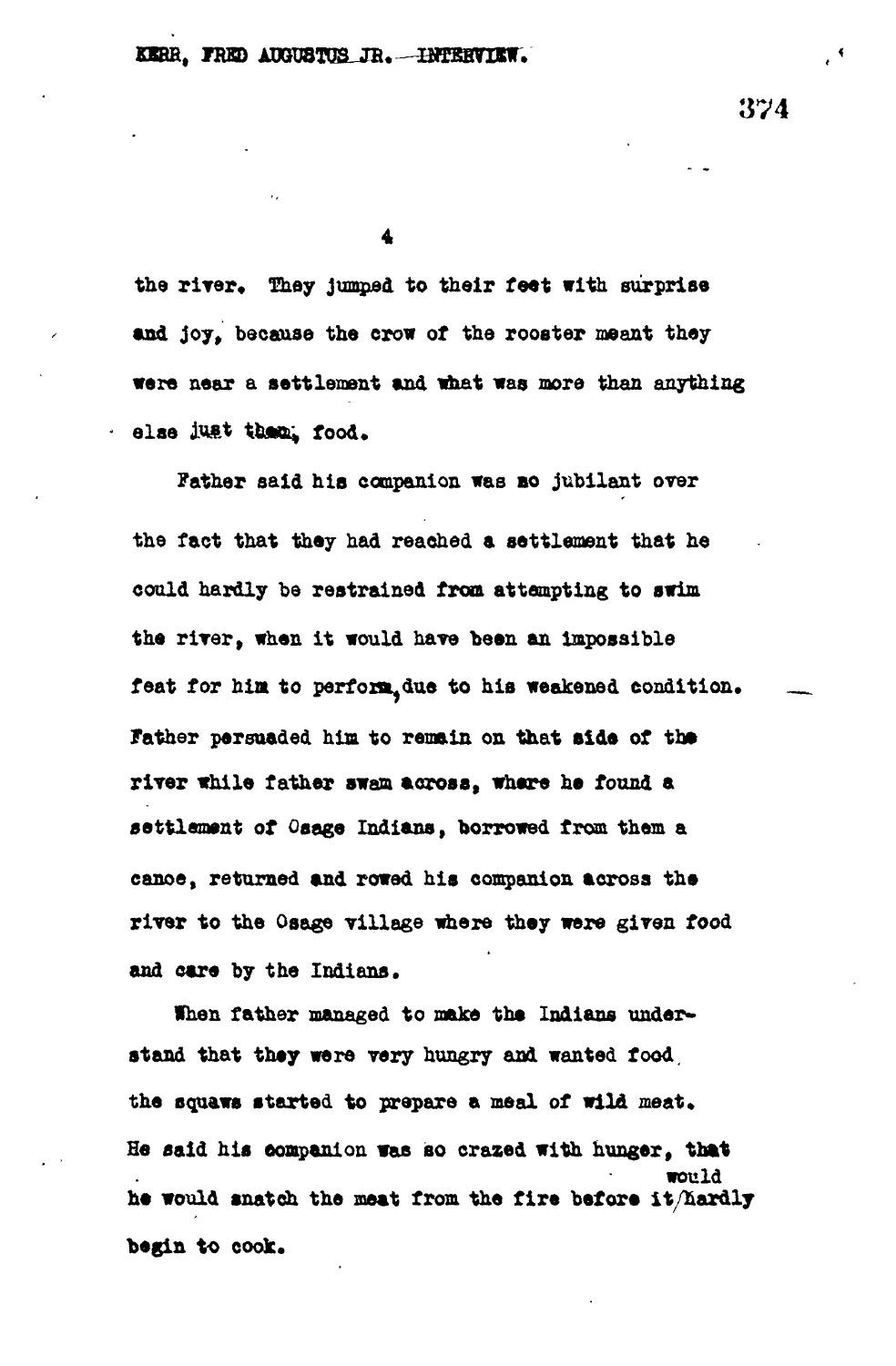$\ddot{\bullet}$ 

the river. They jumped to their feet with surprise **and joy, because the crow of the rooster meant they were near a settlement and what was more than anything** else *just* them. food.

**Father said his companion was BO jubilant over the fact that they had reached a settlement that he could hardly be restrained from attempting to swim the river, when it would have been an impossible** feat for him to perform due to his weakened condition. **father persuaded him to remain on that side of th»** river while father swam across, where he found a **settlement of Osage Indians, borrowed from them a canoe, returned and rowed his companion across the river to the Osage Tillage where they were given food and care by the Indians.**

**When father managed to make the Indians understand that they were very hungry and wanted food.** the squaws started to prepare a meal of wild meat. **He said his companion was so crazed with hunger, that would he would snatch the meat from the fire before it/hardly begin to cook.**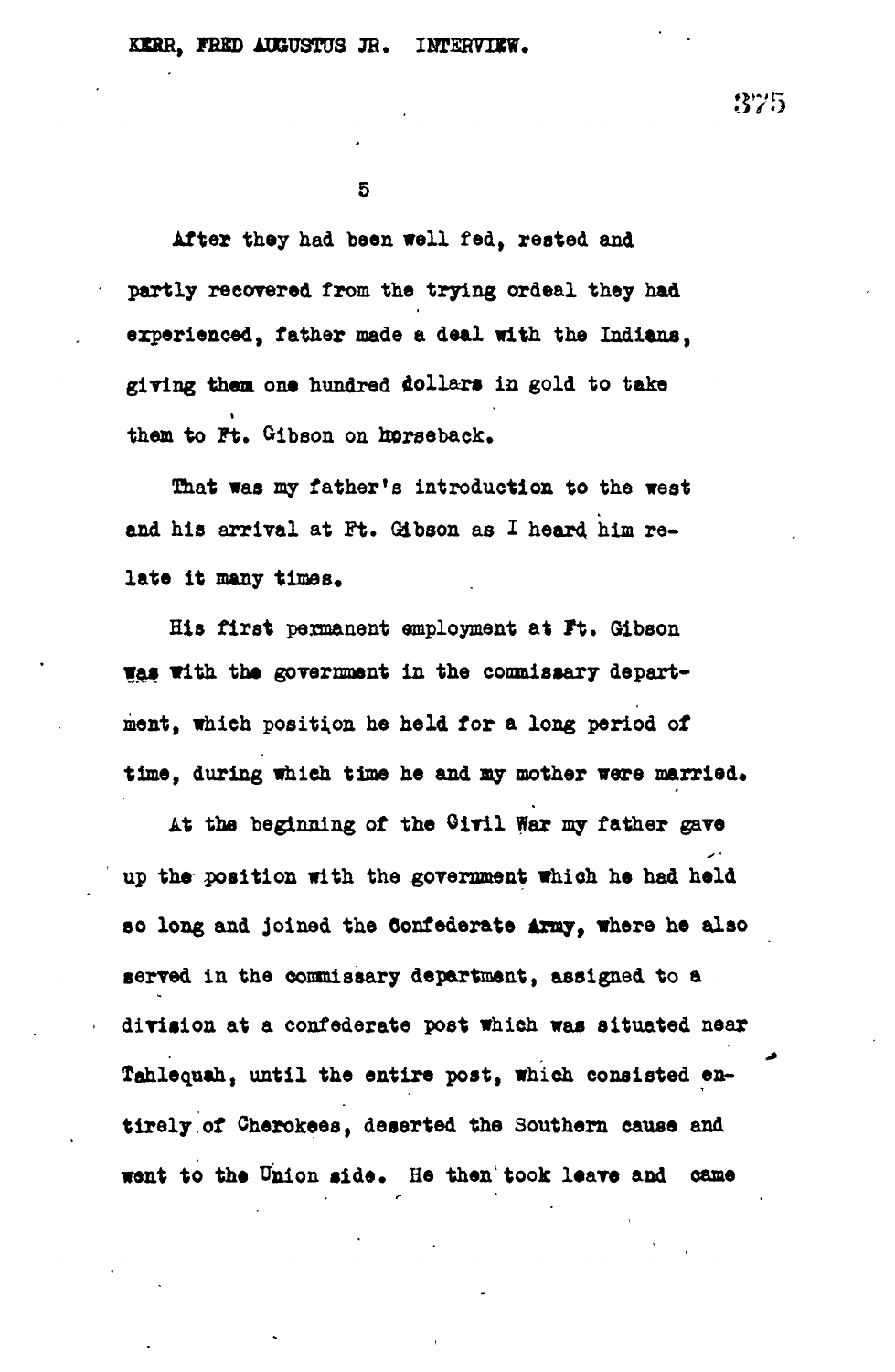5

**After they had been well fed, rested and partly recovered from the trying ordeal they had experienced, father made a deal with the Indians, giring them one hundred dollars in gold to take them to Ft. Gibson on horseback.**

**That was my father's introduction to the west and his arrival at Ft. Gibson as I heard him re**late it many times.

**His first permanent employment at It. Gibson was with the government in the commissary department, which position he held for a long period of** time, during which time he and my mother were married.

**At the beginning of the Oiril War my father gave up the position with the government which he had held so long and joined the Confederate Army, where he also served in the commissary department, assigned to a division at a confederate post which was situated near Tahlequah, until the entire post, which consisted entirely, of Cherokees, deserted the Southern cause and want to the Union side\* He then<sup>1</sup> took leave and came**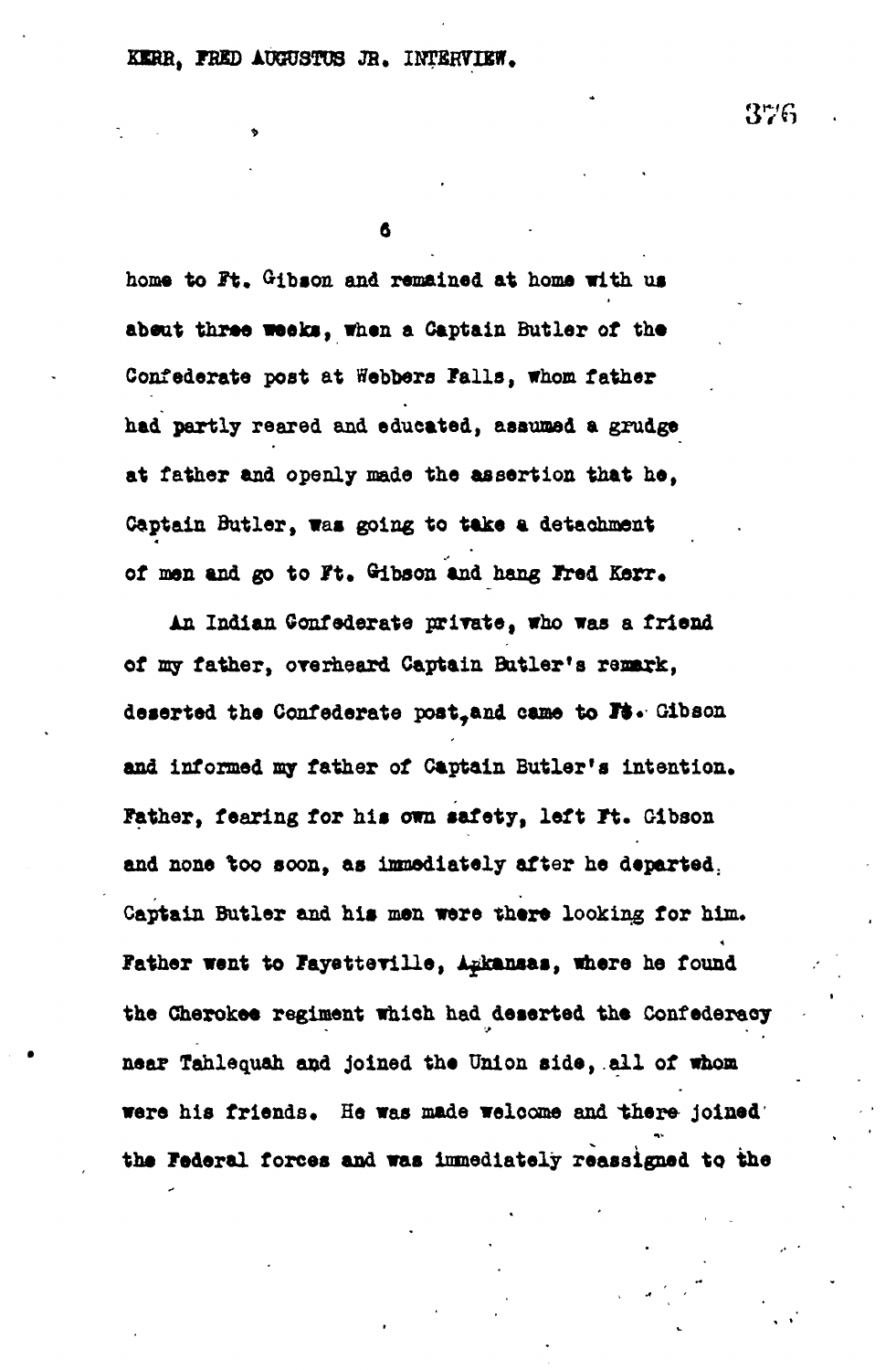## **SERB, FEED AUGUSTUS JR.**

6

home to Ft. Gibson and remained at home with us abeut three weeks, when a Captain Butler of the **Confederate post at Webbers Palls, whom father had partly reared and educated, assumed a grudge at father and openly made the assertion that he, Captain Butler, was going to take a detachment** of men and go to Ft. Gibson and hang Fred Kerr.

**An Indian Confederate private, who was a friend of my father, orerheard Captain Butler's remark, deserted the Confederate poattand came to H v Gibson and informed my father of Captain Butler's intention. Father, fearing for his own safety, left It. Gibson and none %oo soon, as immediately after he departed.** Captain Butler and his men were there looking for him. Father went to Fayetteville, Agkansas, where he found **the Cherokee regiment which had deserted the Confederacy near Tahlequah and joined the Union side, all of whom** were his friends. He was made welcome and there joined' **the Federal forces and was immediately reassigned to the**

376